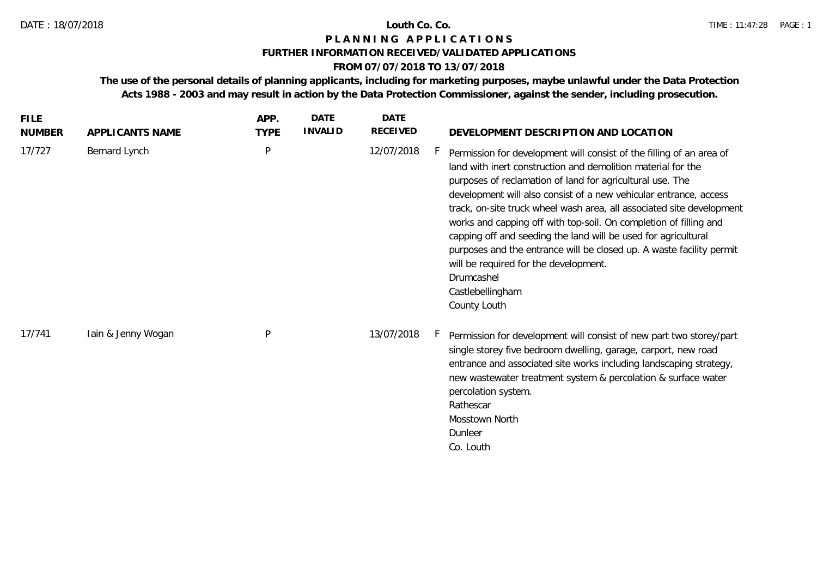## **FURTHER INFORMATION RECEIVED/VALIDATED APPLICATIONS**

## **FROM 07/07/2018 TO 13/07/2018**

**The use of the personal details of planning applicants, including for marketing purposes, maybe unlawful under the Data Protection Acts 1988 - 2003 and may result in action by the Data Protection Commissioner, against the sender, including prosecution.**

| <b>FILE</b><br><b>NUMBER</b> | APPLICANTS NAME    | APP.<br><b>TYPE</b> | <b>DATE</b><br><b>INVALID</b> | <b>DATE</b><br><b>RECEIVED</b> | DEVELOPMENT DESCRIPTION AND LOCATION                                                                                                                                                                                                                                                                                                                                                                                                                                                                                                                                                                                                                      |
|------------------------------|--------------------|---------------------|-------------------------------|--------------------------------|-----------------------------------------------------------------------------------------------------------------------------------------------------------------------------------------------------------------------------------------------------------------------------------------------------------------------------------------------------------------------------------------------------------------------------------------------------------------------------------------------------------------------------------------------------------------------------------------------------------------------------------------------------------|
| 17/727                       | Bernard Lynch      | P                   |                               | 12/07/2018                     | Permission for development will consist of the filling of an area of<br>land with inert construction and demolition material for the<br>purposes of reclamation of land for agricultural use. The<br>development will also consist of a new vehicular entrance, access<br>track, on-site truck wheel wash area, all associated site development<br>works and capping off with top-soil. On completion of filling and<br>capping off and seeding the land will be used for agricultural<br>purposes and the entrance will be closed up. A waste facility permit<br>will be required for the development.<br>Drumcashel<br>Castlebellingham<br>County Louth |
| 17/741                       | Iain & Jenny Wogan | P                   |                               | 13/07/2018                     | Permission for development will consist of new part two storey/part<br>single storey five bedroom dwelling, garage, carport, new road<br>entrance and associated site works including landscaping strategy,<br>new wastewater treatment system & percolation & surface water<br>percolation system.<br>Rathescar<br>Mosstown North<br>Dunleer<br>Co. Louth                                                                                                                                                                                                                                                                                                |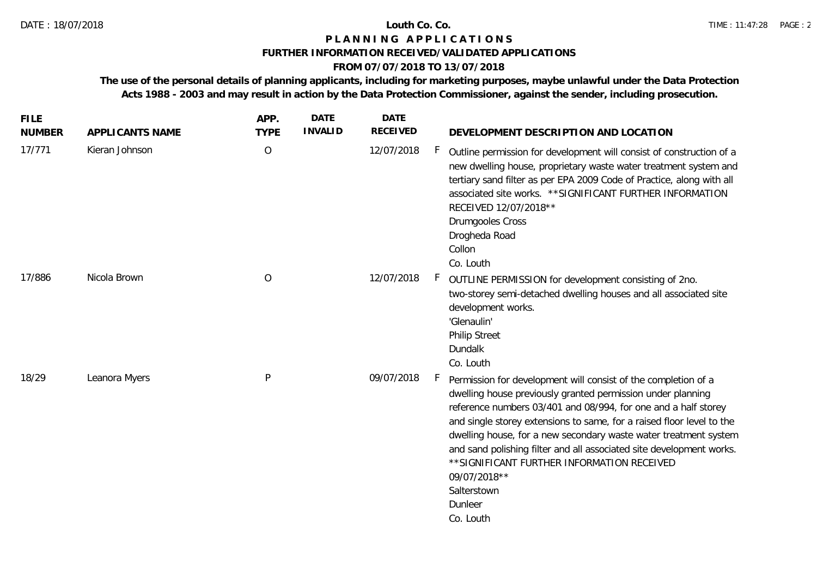### **FURTHER INFORMATION RECEIVED/VALIDATED APPLICATIONS**

## **FROM 07/07/2018 TO 13/07/2018**

**The use of the personal details of planning applicants, including for marketing purposes, maybe unlawful under the Data Protection Acts 1988 - 2003 and may result in action by the Data Protection Commissioner, against the sender, including prosecution.**

| <b>FILE</b><br><b>NUMBER</b> | APPLICANTS NAME | APP.<br><b>TYPE</b> | <b>DATE</b><br><b>INVALID</b> | <b>DATE</b><br><b>RECEIVED</b> | DEVELOPMENT DESCRIPTION AND LOCATION                                                                                                                                                                                                                                                                                                                                                                                                                                                                                             |
|------------------------------|-----------------|---------------------|-------------------------------|--------------------------------|----------------------------------------------------------------------------------------------------------------------------------------------------------------------------------------------------------------------------------------------------------------------------------------------------------------------------------------------------------------------------------------------------------------------------------------------------------------------------------------------------------------------------------|
| 17/771                       | Kieran Johnson  | $\bigcirc$          |                               | 12/07/2018                     | F.<br>Outline permission for development will consist of construction of a<br>new dwelling house, proprietary waste water treatment system and<br>tertiary sand filter as per EPA 2009 Code of Practice, along with all<br>associated site works. ** SIGNIFICANT FURTHER INFORMATION<br>RECEIVED 12/07/2018**<br>Drumgooles Cross<br>Drogheda Road<br>Collon<br>Co. Louth                                                                                                                                                        |
| 17/886                       | Nicola Brown    | $\overline{O}$      |                               | 12/07/2018                     | F.<br>OUTLINE PERMISSION for development consisting of 2no.<br>two-storey semi-detached dwelling houses and all associated site<br>development works.<br>'Glenaulin'<br><b>Philip Street</b><br>Dundalk<br>Co. Louth                                                                                                                                                                                                                                                                                                             |
| 18/29                        | Leanora Myers   | ${\sf P}$           |                               | 09/07/2018                     | F.<br>Permission for development will consist of the completion of a<br>dwelling house previously granted permission under planning<br>reference numbers 03/401 and 08/994, for one and a half storey<br>and single storey extensions to same, for a raised floor level to the<br>dwelling house, for a new secondary waste water treatment system<br>and sand polishing filter and all associated site development works.<br>** SIGNIFICANT FURTHER INFORMATION RECEIVED<br>09/07/2018**<br>Salterstown<br>Dunleer<br>Co. Louth |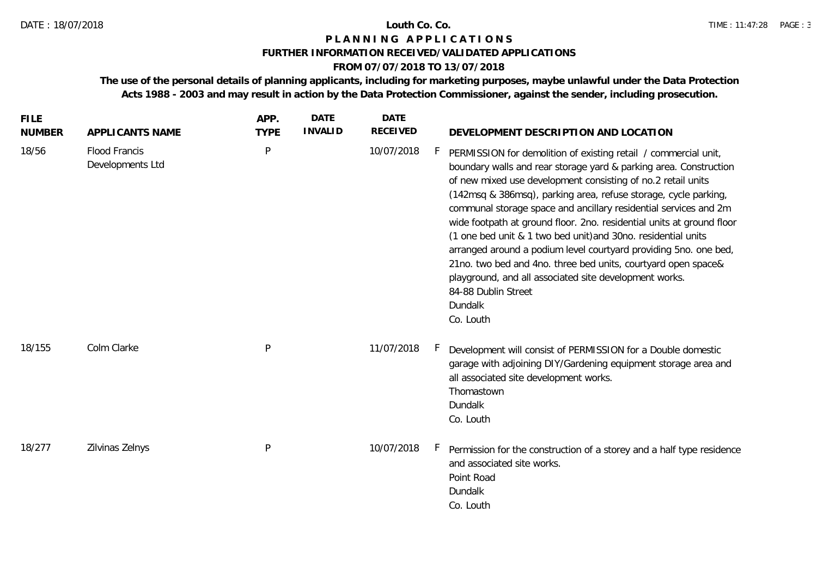# **FURTHER INFORMATION RECEIVED/VALIDATED APPLICATIONS**

# **FROM 07/07/2018 TO 13/07/2018**

**The use of the personal details of planning applicants, including for marketing purposes, maybe unlawful under the Data Protection Acts 1988 - 2003 and may result in action by the Data Protection Commissioner, against the sender, including prosecution.**

| <b>FILE</b><br><b>NUMBER</b> | APPLICANTS NAME                          | APP.<br><b>TYPE</b> | <b>DATE</b><br><b>INVALID</b> | <b>DATE</b><br>RECEIVED | DEVELOPMENT DESCRIPTION AND LOCATION                                                                                                                                                                                                                                                                                                                                                                                                                                                                                                                                                                                                                                                                                                       |
|------------------------------|------------------------------------------|---------------------|-------------------------------|-------------------------|--------------------------------------------------------------------------------------------------------------------------------------------------------------------------------------------------------------------------------------------------------------------------------------------------------------------------------------------------------------------------------------------------------------------------------------------------------------------------------------------------------------------------------------------------------------------------------------------------------------------------------------------------------------------------------------------------------------------------------------------|
| 18/56                        | <b>Flood Francis</b><br>Developments Ltd | P                   |                               | 10/07/2018              | h.,<br>PERMISSION for demolition of existing retail / commercial unit,<br>boundary walls and rear storage yard & parking area. Construction<br>of new mixed use development consisting of no.2 retail units<br>(142msq & 386msq), parking area, refuse storage, cycle parking,<br>communal storage space and ancillary residential services and 2m<br>wide footpath at ground floor. 2no. residential units at ground floor<br>(1 one bed unit & 1 two bed unit) and 30no. residential units<br>arranged around a podium level courtyard providing 5no. one bed,<br>21no. two bed and 4no. three bed units, courtyard open space&<br>playground, and all associated site development works.<br>84-88 Dublin Street<br>Dundalk<br>Co. Louth |
| 18/155                       | Colm Clarke                              | ${\sf P}$           |                               | 11/07/2018              | Development will consist of PERMISSION for a Double domestic<br>h.,<br>garage with adjoining DIY/Gardening equipment storage area and<br>all associated site development works.<br>Thomastown<br>Dundalk<br>Co. Louth                                                                                                                                                                                                                                                                                                                                                                                                                                                                                                                      |
| 18/277                       | Zilvinas Zelnys                          | P                   |                               | 10/07/2018              | Permission for the construction of a storey and a half type residence<br>and associated site works.<br>Point Road<br>Dundalk<br>Co. Louth                                                                                                                                                                                                                                                                                                                                                                                                                                                                                                                                                                                                  |